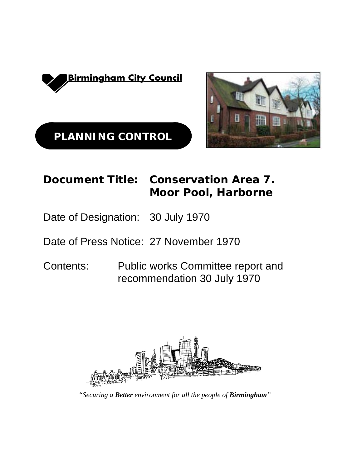

**PLANNING CONTROL** 



## **Document Title: Conservation Area 7. Moor Pool, Harborne**

Date of Designation: 30 July 1970

Date of Press Notice: 27 November 1970

Contents: Public works Committee report and recommendation 30 July 1970



*"Securing a Better environment for all the people of Birmingham"*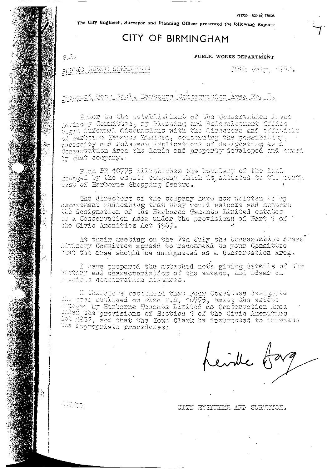P12730-B20 (a) 770/35

The City Engineer, Surveyor and Planning Officer presented the following Report:

## CITY OF BIRMINGHAM

 $P_0 \rightarrow c$ 

## PUBLIC WORKS DEPARTMENT

FORD SORG GOMERNE

3000 我江州 3370.

progré Roy Roy, Bryggne Cheespille 1994 Io. I.

Prior to the establishing of the Conservation Amess Attisory Cormittee, my Planning and Referelephent Chlics<br>Regna jnformal discussions with the dimerters and official 1982 Despie Tenants Manited, concerning the possibility, by that company.

Plan PR 40775 illustrates the boundary of the land mmaged by the estate company which is sitteted to the north.<br>Test of Harborne Shopping Centre.

The directors of the company have now written to my department indicating that they would telecae and support the designation of the Earborne Tenants Limited estates as a Conservation Asea under the provisions of Fart i of the Givic Amenities Act 1967.

At their meeting on the 7th July the Conservation Areas' Ettisony Committee agreed to reconnend to your Committee Hat the area should be designated as a Conservation Area.

T have prepared the attached note giving details of the<br>Integry and characteristics of the estate, and ideas on Muullo qonservation wekenzes.

Stevelove recomment that your Commissed designate<br>2011 - Area cutilined on Pick R.R. 10775, being the estate et<br>2020 - Area Morgente Toushin Dimited as Conservation 1008 Ader the provisions of Section 1 of the Civic Amenities  $\mathbb{R}^{24}$  (967, and that the Town Clerk be instructed to initiate Die Spyropriate procedures:

Leville Barg

CITY ENGINEER AND SURVEYOR.